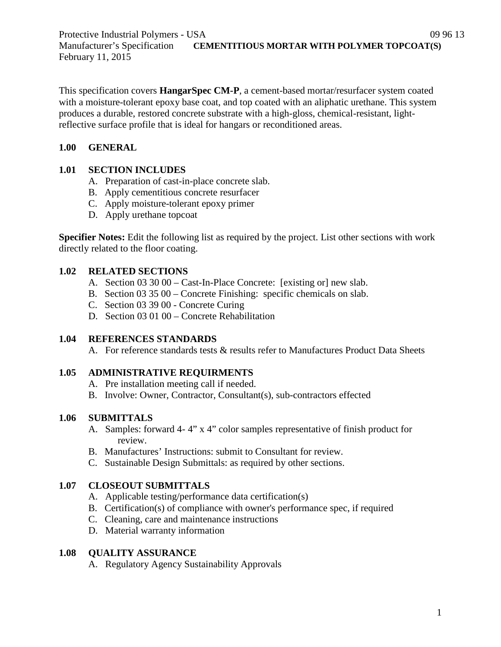Protective Industrial Polymers - USA 09 96 13 Manufacturer's Specification **CEMENTITIOUS MORTAR WITH POLYMER TOPCOAT(S)** February 11, 2015

This specification covers **HangarSpec CM-P**, a cement-based mortar/resurfacer system coated with a moisture-tolerant epoxy base coat, and top coated with an aliphatic urethane. This system produces a durable, restored concrete substrate with a high-gloss, chemical-resistant, lightreflective surface profile that is ideal for hangars or reconditioned areas.

## **1.00 GENERAL**

## **1.01 SECTION INCLUDES**

- A. Preparation of cast-in-place concrete slab.
- B. Apply cementitious concrete resurfacer
- C. Apply moisture-tolerant epoxy primer
- D. Apply urethane topcoat

**Specifier Notes:** Edit the following list as required by the project. List other sections with work directly related to the floor coating.

## **1.02 RELATED SECTIONS**

- A. Section 03 30 00 Cast-In-Place Concrete: [existing or] new slab.
- B. Section 03 35 00 Concrete Finishing: specific chemicals on slab.
- C. Section 03 39 00 Concrete Curing
- D. Section 03 01 00 Concrete Rehabilitation

# **1.04 REFERENCES STANDARDS**

A. For reference standards tests & results refer to Manufactures Product Data Sheets

# **1.05 ADMINISTRATIVE REQUIRMENTS**

- A. Pre installation meeting call if needed.
- B. Involve: Owner, Contractor, Consultant(s), sub-contractors effected

# **1.06 SUBMITTALS**

- A. Samples: forward 4- 4" x 4" color samples representative of finish product for review.
- B. Manufactures' Instructions: submit to Consultant for review.
- C. Sustainable Design Submittals: as required by other sections.

# **1.07 CLOSEOUT SUBMITTALS**

- A. Applicable testing/performance data certification(s)
- B. Certification(s) of compliance with owner's performance spec, if required
- C. Cleaning, care and maintenance instructions
- D. Material warranty information

# **1.08 QUALITY ASSURANCE**

A. Regulatory Agency Sustainability Approvals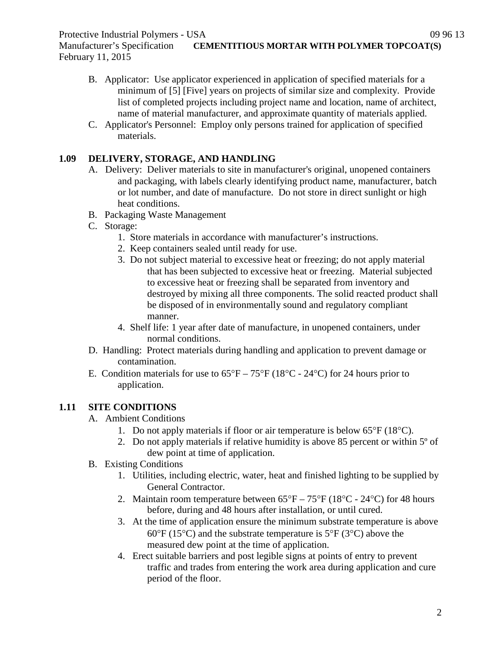February 11, 2015

- B. Applicator: Use applicator experienced in application of specified materials for a minimum of [5] [Five] years on projects of similar size and complexity. Provide list of completed projects including project name and location, name of architect, name of material manufacturer, and approximate quantity of materials applied.
- C. Applicator's Personnel: Employ only persons trained for application of specified materials.

## **1.09 DELIVERY, STORAGE, AND HANDLING**

- A. Delivery: Deliver materials to site in manufacturer's original, unopened containers and packaging, with labels clearly identifying product name, manufacturer, batch or lot number, and date of manufacture. Do not store in direct sunlight or high heat conditions.
- B. Packaging Waste Management
- C. Storage:
	- 1. Store materials in accordance with manufacturer's instructions.
	- 2. Keep containers sealed until ready for use.
	- 3. Do not subject material to excessive heat or freezing; do not apply material that has been subjected to excessive heat or freezing. Material subjected to excessive heat or freezing shall be separated from inventory and destroyed by mixing all three components. The solid reacted product shall be disposed of in environmentally sound and regulatory compliant manner.
	- 4. Shelf life: 1 year after date of manufacture, in unopened containers, under normal conditions.
- D. Handling: Protect materials during handling and application to prevent damage or contamination.
- E. Condition materials for use to  $65^{\circ}F 75^{\circ}F (18^{\circ}C 24^{\circ}C)$  for 24 hours prior to application.

# **1.11 SITE CONDITIONS**

- A. Ambient Conditions
	- 1. Do not apply materials if floor or air temperature is below  $65^{\circ}F(18^{\circ}C)$ .
	- 2. Do not apply materials if relative humidity is above 85 percent or within 5º of dew point at time of application.
- B. Existing Conditions
	- 1. Utilities, including electric, water, heat and finished lighting to be supplied by General Contractor.
	- 2. Maintain room temperature between  $65^{\circ}F 75^{\circ}F (18^{\circ}C 24^{\circ}C)$  for 48 hours before, during and 48 hours after installation, or until cured.
	- 3. At the time of application ensure the minimum substrate temperature is above  $60^{\circ}$ F (15<sup>o</sup>C) and the substrate temperature is 5<sup>o</sup>F (3<sup>o</sup>C) above the measured dew point at the time of application.
	- 4. Erect suitable barriers and post legible signs at points of entry to prevent traffic and trades from entering the work area during application and cure period of the floor.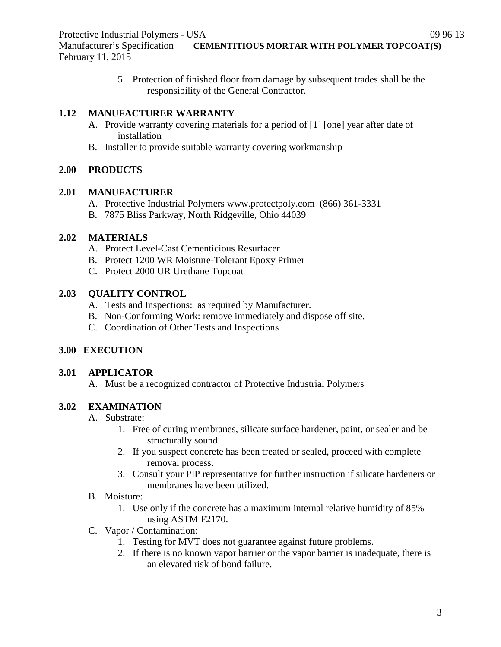5. Protection of finished floor from damage by subsequent trades shall be the responsibility of the General Contractor.

# **1.12 MANUFACTURER WARRANTY**

- A. Provide warranty covering materials for a period of [1] [one] year after date of installation
- B. Installer to provide suitable warranty covering workmanship

## **2.00 PRODUCTS**

#### **2.01 MANUFACTURER**

- A. Protective Industrial Polymers [www.protectpoly.com](http://www.protectpoly.com/) (866) 361-3331
- B. 7875 Bliss Parkway, North Ridgeville, Ohio 44039

# **2.02 MATERIALS**

- A. Protect Level-Cast Cementicious Resurfacer
- B. Protect 1200 WR Moisture-Tolerant Epoxy Primer
- C. Protect 2000 UR Urethane Topcoat

# **2.03 QUALITY CONTROL**

- A. Tests and Inspections: as required by Manufacturer.
- B. Non-Conforming Work: remove immediately and dispose off site.
- C. Coordination of Other Tests and Inspections

# **3.00 EXECUTION**

# **3.01 APPLICATOR**

A. Must be a recognized contractor of Protective Industrial Polymers

# **3.02 EXAMINATION**

# A. Substrate:

- 1. Free of curing membranes, silicate surface hardener, paint, or sealer and be structurally sound.
- 2. If you suspect concrete has been treated or sealed, proceed with complete removal process.
- 3. Consult your PIP representative for further instruction if silicate hardeners or membranes have been utilized.
- B. Moisture:
	- 1. Use only if the concrete has a maximum internal relative humidity of 85% using ASTM F2170.
- C. Vapor / Contamination:
	- 1. Testing for MVT does not guarantee against future problems.
	- 2. If there is no known vapor barrier or the vapor barrier is inadequate, there is an elevated risk of bond failure.

3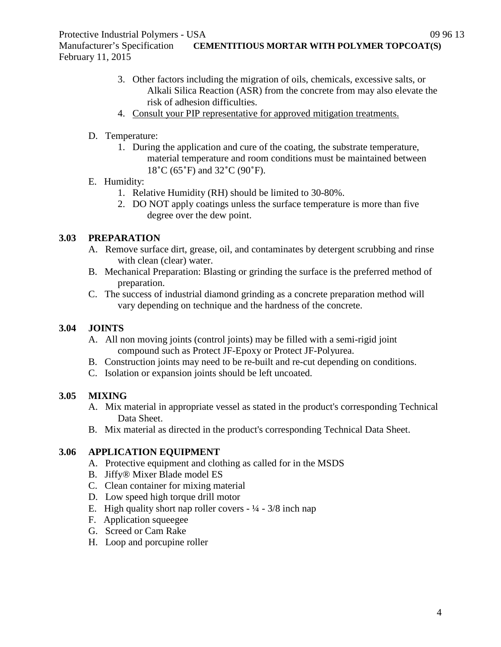Manufacturer's Specification **CEMENTITIOUS MORTAR WITH POLYMER TOPCOAT(S)** February 11, 2015

- 3. Other factors including the migration of oils, chemicals, excessive salts, or Alkali Silica Reaction (ASR) from the concrete from may also elevate the risk of adhesion difficulties.
- 4. Consult your PIP representative for approved mitigation treatments.
- D. Temperature:
	- 1. During the application and cure of the coating, the substrate temperature, material temperature and room conditions must be maintained between 18˚C (65˚F) and 32˚C (90˚F).
- E. Humidity:
	- 1. Relative Humidity (RH) should be limited to 30-80%.
	- 2. DO NOT apply coatings unless the surface temperature is more than five degree over the dew point.

# **3.03 PREPARATION**

- A. Remove surface dirt, grease, oil, and contaminates by detergent scrubbing and rinse with clean (clear) water.
- B. Mechanical Preparation: Blasting or grinding the surface is the preferred method of preparation.
- C. The success of industrial diamond grinding as a concrete preparation method will vary depending on technique and the hardness of the concrete.

# **3.04 JOINTS**

- A. All non moving joints (control joints) may be filled with a semi-rigid joint compound such as Protect JF-Epoxy or Protect JF-Polyurea.
- B. Construction joints may need to be re-built and re-cut depending on conditions.
- C. Isolation or expansion joints should be left uncoated.

# **3.05 MIXING**

- A. Mix material in appropriate vessel as stated in the product's corresponding Technical Data Sheet.
- B. Mix material as directed in the product's corresponding Technical Data Sheet.

# **3.06 APPLICATION EQUIPMENT**

- A. Protective equipment and clothing as called for in the MSDS
- B. Jiffy® Mixer Blade model ES
- C. Clean container for mixing material
- D. Low speed high torque drill motor
- E. High quality short nap roller covers  $-1/4 3/8$  inch nap
- F. Application squeegee
- G. Screed or Cam Rake
- H. Loop and porcupine roller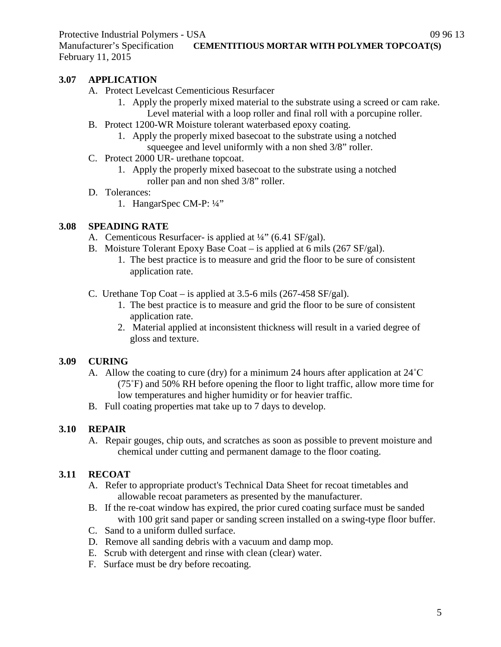Manufacturer's Specification **CEMENTITIOUS MORTAR WITH POLYMER TOPCOAT(S)** February 11, 2015

# **3.07 APPLICATION**

- A. Protect Levelcast Cementicious Resurfacer
	- 1. Apply the properly mixed material to the substrate using a screed or cam rake. Level material with a loop roller and final roll with a porcupine roller.
- B. Protect 1200-WR Moisture tolerant waterbased epoxy coating.
	- 1. Apply the properly mixed basecoat to the substrate using a notched squeegee and level uniformly with a non shed 3/8" roller.
- C. Protect 2000 UR- urethane topcoat.
	- 1. Apply the properly mixed basecoat to the substrate using a notched roller pan and non shed 3/8" roller.
- D. Tolerances:
	- 1. HangarSpec CM-P: ¼"

## **3.08 SPEADING RATE**

- A. Cementicous Resurfacer- is applied at  $\frac{1}{4}$ " (6.41 SF/gal).
- B. Moisture Tolerant Epoxy Base Coat is applied at 6 mils (267 SF/gal).
	- 1. The best practice is to measure and grid the floor to be sure of consistent application rate.
- C. Urethane Top Coat is applied at 3.5-6 mils (267-458 SF/gal).
	- 1. The best practice is to measure and grid the floor to be sure of consistent application rate.
	- 2. Material applied at inconsistent thickness will result in a varied degree of gloss and texture.

#### **3.09 CURING**

- A. Allow the coating to cure (dry) for a minimum 24 hours after application at 24˚C (75˚F) and 50% RH before opening the floor to light traffic, allow more time for low temperatures and higher humidity or for heavier traffic.
- B. Full coating properties mat take up to 7 days to develop.

# **3.10 REPAIR**

A. Repair gouges, chip outs, and scratches as soon as possible to prevent moisture and chemical under cutting and permanent damage to the floor coating.

#### **3.11 RECOAT**

- A. Refer to appropriate product's Technical Data Sheet for recoat timetables and allowable recoat parameters as presented by the manufacturer.
- B. If the re-coat window has expired, the prior cured coating surface must be sanded with 100 grit sand paper or sanding screen installed on a swing-type floor buffer.
- C. Sand to a uniform dulled surface.
- D. Remove all sanding debris with a vacuum and damp mop.
- E. Scrub with detergent and rinse with clean (clear) water.
- F. Surface must be dry before recoating.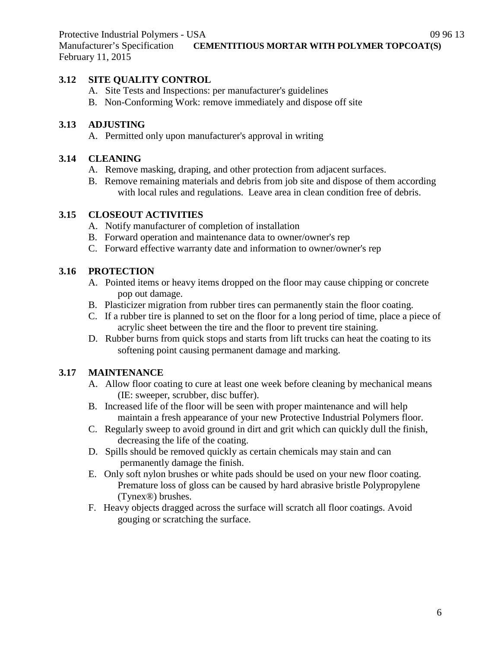# **3.12 SITE QUALITY CONTROL**

- A. Site Tests and Inspections: per manufacturer's guidelines
- B. Non-Conforming Work: remove immediately and dispose off site

# **3.13 ADJUSTING**

A. Permitted only upon manufacturer's approval in writing

# **3.14 CLEANING**

- A. Remove masking, draping, and other protection from adjacent surfaces.
- B. Remove remaining materials and debris from job site and dispose of them according with local rules and regulations. Leave area in clean condition free of debris.

# **3.15 CLOSEOUT ACTIVITIES**

- A. Notify manufacturer of completion of installation
- B. Forward operation and maintenance data to owner/owner's rep
- C. Forward effective warranty date and information to owner/owner's rep

# **3.16 PROTECTION**

- A. Pointed items or heavy items dropped on the floor may cause chipping or concrete pop out damage.
- B. Plasticizer migration from rubber tires can permanently stain the floor coating.
- C. If a rubber tire is planned to set on the floor for a long period of time, place a piece of acrylic sheet between the tire and the floor to prevent tire staining.
- D. Rubber burns from quick stops and starts from lift trucks can heat the coating to its softening point causing permanent damage and marking.

# **3.17 MAINTENANCE**

- A. Allow floor coating to cure at least one week before cleaning by mechanical means (IE: sweeper, scrubber, disc buffer).
- B. Increased life of the floor will be seen with proper maintenance and will help maintain a fresh appearance of your new Protective Industrial Polymers floor.
- C. Regularly sweep to avoid ground in dirt and grit which can quickly dull the finish, decreasing the life of the coating.
- D. Spills should be removed quickly as certain chemicals may stain and can permanently damage the finish.
- E. Only soft nylon brushes or white pads should be used on your new floor coating. Premature loss of gloss can be caused by hard abrasive bristle Polypropylene (Tynex®) brushes.
- F. Heavy objects dragged across the surface will scratch all floor coatings. Avoid gouging or scratching the surface.